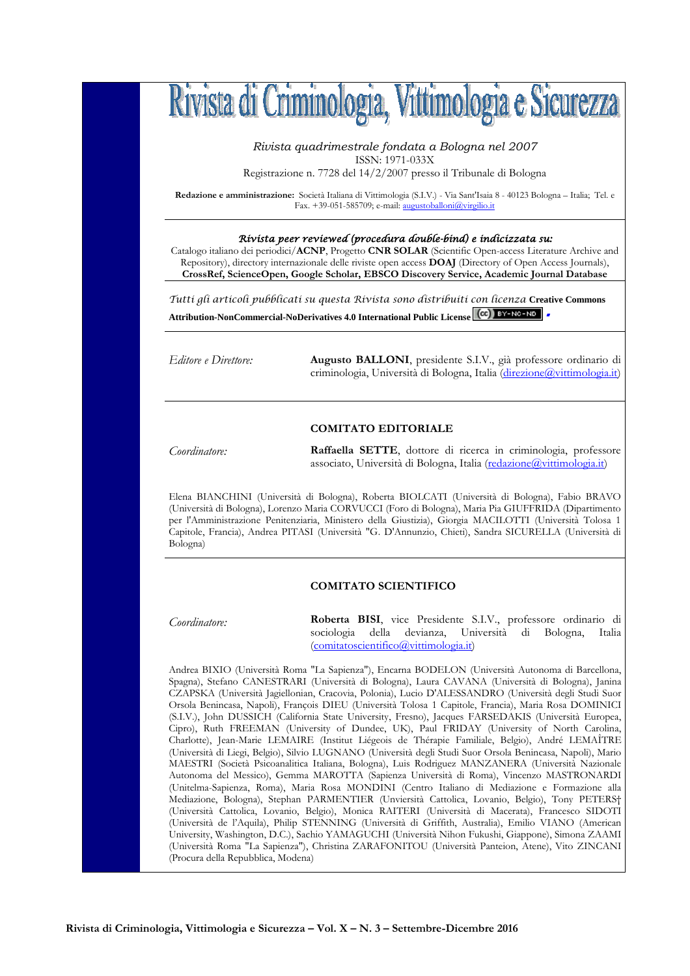

*Rivista quadrimestrale fondata a Bologna nel 2007*  ISSN: 1971-033X

Registrazione n. 7728 del 14/2/2007 presso il Tribunale di Bologna

**Redazione e amministrazione:** Società Italiana di Vittimologia (S.I.V.) - Via Sant'Isaia 8 - 40123 Bologna – Italia; Tel. e Fax. +39-051-585709; e-mail: augustoballoni@virgilio.it

### Rivista peer reviewed (procedura double-bind) e indicizzata su:

Catalogo italiano dei periodici/**ACNP**, Progetto **CNR SOLAR** (Scientific Open-access Literature Archive and Repository), directory internazionale delle riviste open access **DOAJ** (Directory of Open Access Journals), **CrossRef, ScienceOpen, Google Scholar, EBSCO Discovery Service, Academic Journal Database**

Tutti gli articoli pubblicati su questa Rivista sono distribuiti con licenza **Creative Commons Attribution-NonCommercial-NoDerivatives 4.0 International Public License** 

*Editore e Direttore:* **Augusto BALLONI**, presidente S.I.V., già professore ordinario di criminologia, Università di Bologna, Italia (direzione@vittimologia.it)

### **COMITATO EDITORIALE**

*Coordinatore:* **Raffaella SETTE**, dottore di ricerca in criminologia, professore associato, Università di Bologna, Italia (redazione@vittimologia.it)

Elena BIANCHINI (Università di Bologna), Roberta BIOLCATI (Università di Bologna), Fabio BRAVO (Università di Bologna), Lorenzo Maria CORVUCCI (Foro di Bologna), Maria Pia GIUFFRIDA (Dipartimento per l'Amministrazione Penitenziaria, Ministero della Giustizia), Giorgia MACILOTTI (Università Tolosa 1 Capitole, Francia), Andrea PITASI (Università "G. D'Annunzio, Chieti), Sandra SICURELLA (Università di Bologna)

### **COMITATO SCIENTIFICO**

*Coordinatore:* **Roberta BISI**, vice Presidente S.I.V., professore ordinario di sociologia della devianza, Università di Bologna, Italia (comitatoscientifico@vittimologia.it)

Andrea BIXIO (Università Roma "La Sapienza"), Encarna BODELON (Università Autonoma di Barcellona, Spagna), Stefano CANESTRARI (Università di Bologna), Laura CAVANA (Università di Bologna), Janina CZAPSKA (Università Jagiellonian, Cracovia, Polonia), Lucio D'ALESSANDRO (Università degli Studi Suor Orsola Benincasa, Napoli), François DIEU (Università Tolosa 1 Capitole, Francia), Maria Rosa DOMINICI (S.I.V.), John DUSSICH (California State University, Fresno), Jacques FARSEDAKIS (Università Europea, Cipro), Ruth FREEMAN (University of Dundee, UK), Paul FRIDAY (University of North Carolina, Charlotte), Jean-Marie LEMAIRE (Institut Liégeois de Thérapie Familiale, Belgio), André LEMAÎTRE (Università di Liegi, Belgio), Silvio LUGNANO (Università degli Studi Suor Orsola Benincasa, Napoli), Mario MAESTRI (Società Psicoanalitica Italiana, Bologna), Luis Rodriguez MANZANERA (Università Nazionale Autonoma del Messico), Gemma MAROTTA (Sapienza Università di Roma), Vincenzo MASTRONARDI (Unitelma-Sapienza, Roma), Maria Rosa MONDINI (Centro Italiano di Mediazione e Formazione alla Mediazione, Bologna), Stephan PARMENTIER (Unviersità Cattolica, Lovanio, Belgio), Tony PETERS† (Università Cattolica, Lovanio, Belgio), Monica RAITERI (Università di Macerata), Francesco SIDOTI (Università de l'Aquila), Philip STENNING (Università di Griffith, Australia), Emilio VIANO (American University, Washington, D.C.), Sachio YAMAGUCHI (Università Nihon Fukushi, Giappone), Simona ZAAMI (Università Roma "La Sapienza"), Christina ZARAFONITOU (Università Panteion, Atene), Vito ZINCANI (Procura della Repubblica, Modena)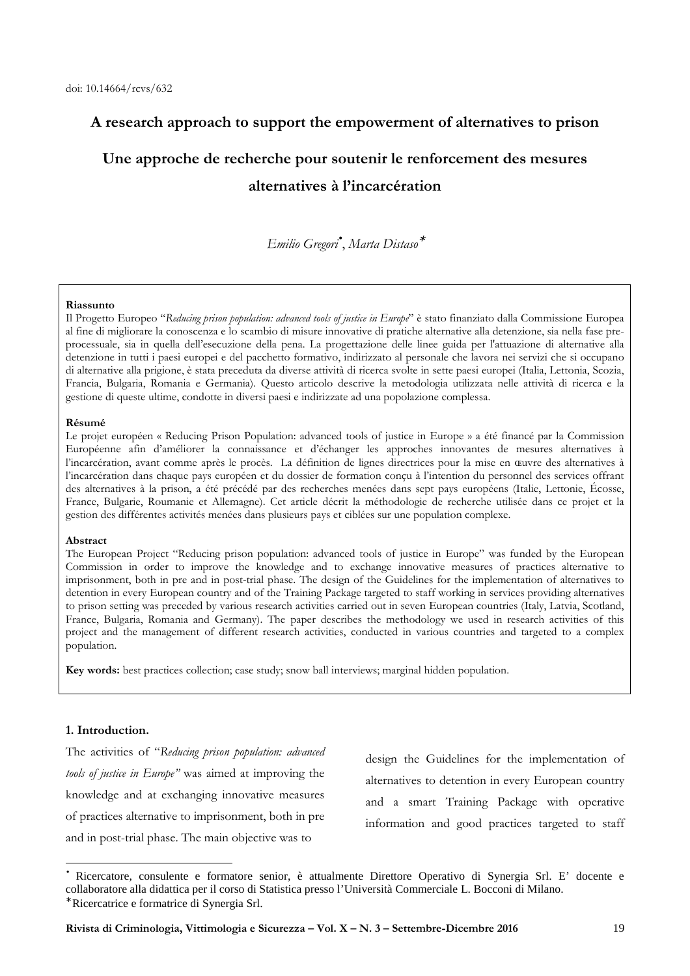# **A research approach to support the empowerment of alternatives to prison**

# **Une approche de recherche pour soutenir le renforcement des mesures alternatives à l'incarcération**

*Emilio Gregori*• , *Marta Distaso*<sup>∗</sup>

### **Riassunto**

Il Progetto Europeo "*Reducing prison population: advanced tools of justice in Europe*" è stato finanziato dalla Commissione Europea al fine di migliorare la conoscenza e lo scambio di misure innovative di pratiche alternative alla detenzione, sia nella fase preprocessuale, sia in quella dell'esecuzione della pena. La progettazione delle linee guida per l'attuazione di alternative alla detenzione in tutti i paesi europei e del pacchetto formativo, indirizzato al personale che lavora nei servizi che si occupano di alternative alla prigione, è stata preceduta da diverse attività di ricerca svolte in sette paesi europei (Italia, Lettonia, Scozia, Francia, Bulgaria, Romania e Germania). Questo articolo descrive la metodologia utilizzata nelle attività di ricerca e la gestione di queste ultime, condotte in diversi paesi e indirizzate ad una popolazione complessa.

#### **Résumé**

Le projet européen « Reducing Prison Population: advanced tools of justice in Europe » a été financé par la Commission Européenne afin d'améliorer la connaissance et d'échanger les approches innovantes de mesures alternatives à l'incarcération, avant comme après le procès. La définition de lignes directrices pour la mise en ɶuvre des alternatives à l'incarcération dans chaque pays européen et du dossier de formation conçu à l'intention du personnel des services offrant des alternatives à la prison, a été précédé par des recherches menées dans sept pays européens (Italie, Lettonie, Écosse, France, Bulgarie, Roumanie et Allemagne). Cet article décrit la méthodologie de recherche utilisée dans ce projet et la gestion des différentes activités menées dans plusieurs pays et ciblées sur une population complexe.

### **Abstract**

The European Project "Reducing prison population: advanced tools of justice in Europe" was funded by the European Commission in order to improve the knowledge and to exchange innovative measures of practices alternative to imprisonment, both in pre and in post-trial phase. The design of the Guidelines for the implementation of alternatives to detention in every European country and of the Training Package targeted to staff working in services providing alternatives to prison setting was preceded by various research activities carried out in seven European countries (Italy, Latvia, Scotland, France, Bulgaria, Romania and Germany). The paper describes the methodology we used in research activities of this project and the management of different research activities, conducted in various countries and targeted to a complex population.

**Key words:** best practices collection; case study; snow ball interviews; marginal hidden population.

# **1. Introduction.**

 $\overline{a}$ 

The activities of "*Reducing prison population: advanced tools of justice in Europe"* was aimed at improving the knowledge and at exchanging innovative measures of practices alternative to imprisonment, both in pre and in post-trial phase. The main objective was to

design the Guidelines for the implementation of alternatives to detention in every European country and a smart Training Package with operative information and good practices targeted to staff

<sup>•</sup> Ricercatore, consulente e formatore senior, è attualmente Direttore Operativo di Synergia Srl. E' docente e collaboratore alla didattica per il corso di Statistica presso l'Università Commerciale L. Bocconi di Milano. ∗

Ricercatrice e formatrice di Synergia Srl.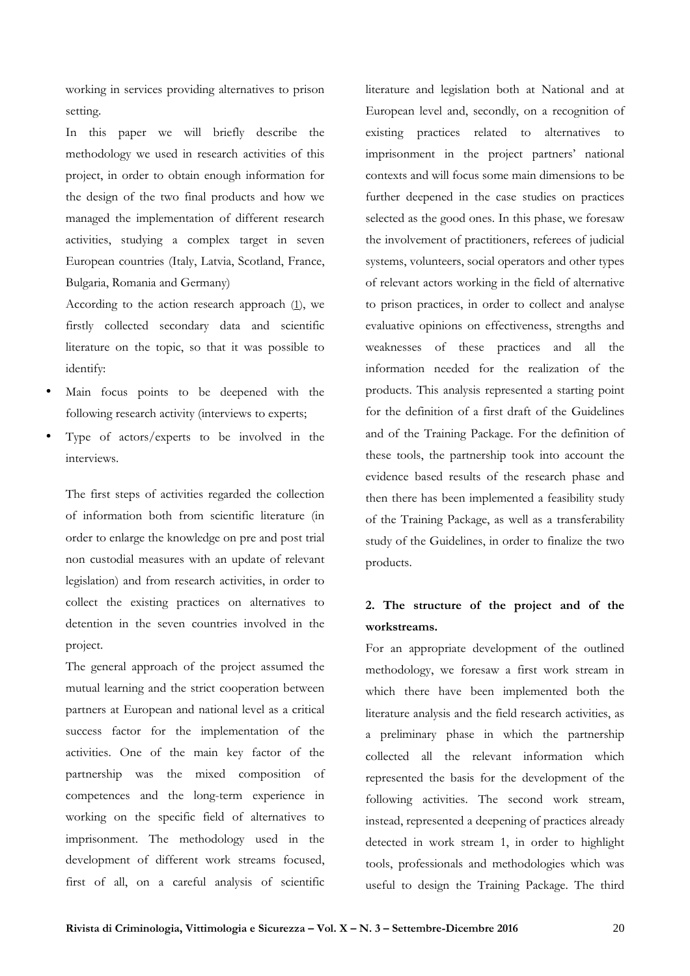working in services providing alternatives to prison setting.

In this paper we will briefly describe the methodology we used in research activities of this project, in order to obtain enough information for the design of the two final products and how we managed the implementation of different research activities, studying a complex target in seven European countries (Italy, Latvia, Scotland, France, Bulgaria, Romania and Germany)

According to the action research approach  $(1)$ , we firstly collected secondary data and scientific literature on the topic, so that it was possible to identify:

- Main focus points to be deepened with the following research activity (interviews to experts;
- Type of actors/experts to be involved in the interviews.

The first steps of activities regarded the collection of information both from scientific literature (in order to enlarge the knowledge on pre and post trial non custodial measures with an update of relevant legislation) and from research activities, in order to collect the existing practices on alternatives to detention in the seven countries involved in the project.

The general approach of the project assumed the mutual learning and the strict cooperation between partners at European and national level as a critical success factor for the implementation of the activities. One of the main key factor of the partnership was the mixed composition of competences and the long-term experience in working on the specific field of alternatives to imprisonment. The methodology used in the development of different work streams focused, first of all, on a careful analysis of scientific literature and legislation both at National and at European level and, secondly, on a recognition of existing practices related to alternatives to imprisonment in the project partners' national contexts and will focus some main dimensions to be further deepened in the case studies on practices selected as the good ones. In this phase, we foresaw the involvement of practitioners, referees of judicial systems, volunteers, social operators and other types of relevant actors working in the field of alternative to prison practices, in order to collect and analyse evaluative opinions on effectiveness, strengths and weaknesses of these practices and all the information needed for the realization of the products. This analysis represented a starting point for the definition of a first draft of the Guidelines and of the Training Package. For the definition of these tools, the partnership took into account the evidence based results of the research phase and then there has been implemented a feasibility study of the Training Package, as well as a transferability study of the Guidelines, in order to finalize the two products.

# **2. The structure of the project and of the workstreams.**

For an appropriate development of the outlined methodology, we foresaw a first work stream in which there have been implemented both the literature analysis and the field research activities, as a preliminary phase in which the partnership collected all the relevant information which represented the basis for the development of the following activities. The second work stream, instead, represented a deepening of practices already detected in work stream 1, in order to highlight tools, professionals and methodologies which was useful to design the Training Package. The third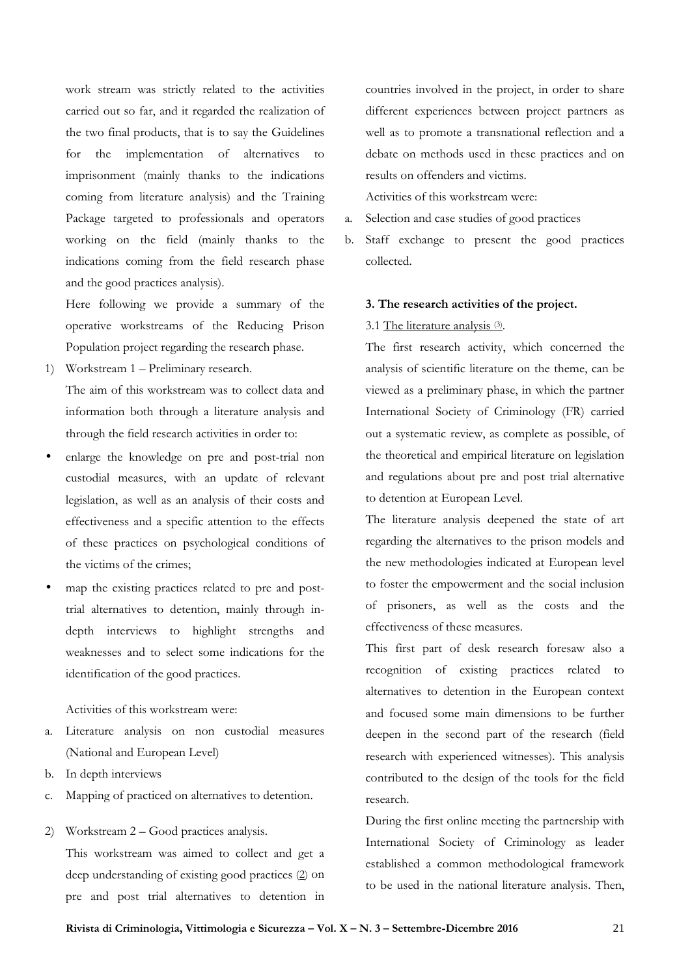work stream was strictly related to the activities carried out so far, and it regarded the realization of the two final products, that is to say the Guidelines for the implementation of alternatives to imprisonment (mainly thanks to the indications coming from literature analysis) and the Training Package targeted to professionals and operators working on the field (mainly thanks to the indications coming from the field research phase and the good practices analysis).

Here following we provide a summary of the operative workstreams of the Reducing Prison Population project regarding the research phase.

1) Workstream 1 – Preliminary research.

The aim of this workstream was to collect data and information both through a literature analysis and through the field research activities in order to:

- enlarge the knowledge on pre and post-trial non custodial measures, with an update of relevant legislation, as well as an analysis of their costs and effectiveness and a specific attention to the effects of these practices on psychological conditions of the victims of the crimes;
- map the existing practices related to pre and posttrial alternatives to detention, mainly through indepth interviews to highlight strengths and weaknesses and to select some indications for the identification of the good practices.

Activities of this workstream were:

- a. Literature analysis on non custodial measures (National and European Level)
- b. In depth interviews
- c. Mapping of practiced on alternatives to detention.
- 2) Workstream 2 Good practices analysis.

This workstream was aimed to collect and get a deep understanding of existing good practices (2) on pre and post trial alternatives to detention in countries involved in the project, in order to share different experiences between project partners as well as to promote a transnational reflection and a debate on methods used in these practices and on results on offenders and victims.

Activities of this workstream were:

- a. Selection and case studies of good practices
- b. Staff exchange to present the good practices collected.

# **3. The research activities of the project.**

# 3.1 The literature analysis (3).

The first research activity, which concerned the analysis of scientific literature on the theme, can be viewed as a preliminary phase, in which the partner International Society of Criminology (FR) carried out a systematic review, as complete as possible, of the theoretical and empirical literature on legislation and regulations about pre and post trial alternative to detention at European Level.

The literature analysis deepened the state of art regarding the alternatives to the prison models and the new methodologies indicated at European level to foster the empowerment and the social inclusion of prisoners, as well as the costs and the effectiveness of these measures.

This first part of desk research foresaw also a recognition of existing practices related to alternatives to detention in the European context and focused some main dimensions to be further deepen in the second part of the research (field research with experienced witnesses). This analysis contributed to the design of the tools for the field research.

During the first online meeting the partnership with International Society of Criminology as leader established a common methodological framework to be used in the national literature analysis. Then,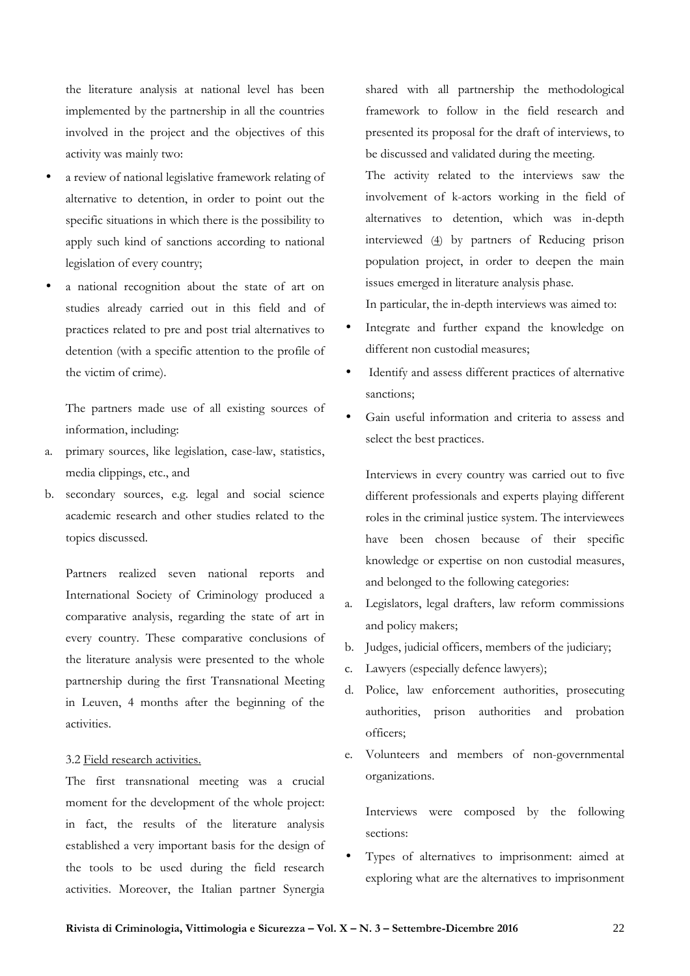the literature analysis at national level has been implemented by the partnership in all the countries involved in the project and the objectives of this activity was mainly two:

- a review of national legislative framework relating of alternative to detention, in order to point out the specific situations in which there is the possibility to apply such kind of sanctions according to national legislation of every country;
- a national recognition about the state of art on studies already carried out in this field and of practices related to pre and post trial alternatives to detention (with a specific attention to the profile of the victim of crime).

The partners made use of all existing sources of information, including:

- a. primary sources, like legislation, case-law, statistics, media clippings, etc., and
- b. secondary sources, e.g. legal and social science academic research and other studies related to the topics discussed.

Partners realized seven national reports and International Society of Criminology produced a comparative analysis, regarding the state of art in every country. These comparative conclusions of the literature analysis were presented to the whole partnership during the first Transnational Meeting in Leuven, 4 months after the beginning of the activities.

# 3.2 Field research activities.

The first transnational meeting was a crucial moment for the development of the whole project: in fact, the results of the literature analysis established a very important basis for the design of the tools to be used during the field research activities. Moreover, the Italian partner Synergia shared with all partnership the methodological framework to follow in the field research and presented its proposal for the draft of interviews, to be discussed and validated during the meeting.

The activity related to the interviews saw the involvement of k-actors working in the field of alternatives to detention, which was in-depth interviewed (4) by partners of Reducing prison population project, in order to deepen the main issues emerged in literature analysis phase.

In particular, the in-depth interviews was aimed to:

- Integrate and further expand the knowledge on different non custodial measures;
- Identify and assess different practices of alternative sanctions;
- Gain useful information and criteria to assess and select the best practices.

Interviews in every country was carried out to five different professionals and experts playing different roles in the criminal justice system. The interviewees have been chosen because of their specific knowledge or expertise on non custodial measures, and belonged to the following categories:

- a. Legislators, legal drafters, law reform commissions and policy makers;
- b. Judges, judicial officers, members of the judiciary;
- c. Lawyers (especially defence lawyers);
- d. Police, law enforcement authorities, prosecuting authorities, prison authorities and probation officers;
- e. Volunteers and members of non-governmental organizations.

Interviews were composed by the following sections:

• Types of alternatives to imprisonment: aimed at exploring what are the alternatives to imprisonment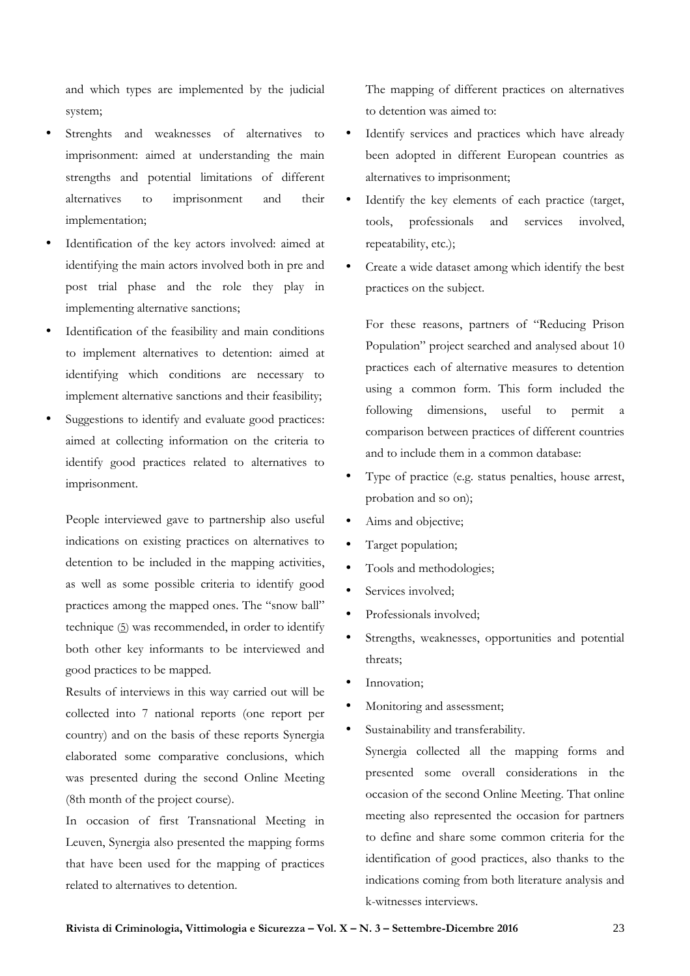and which types are implemented by the judicial system;

- Strenghts and weaknesses of alternatives to imprisonment: aimed at understanding the main strengths and potential limitations of different alternatives to imprisonment and their implementation;
- Identification of the key actors involved: aimed at identifying the main actors involved both in pre and post trial phase and the role they play in implementing alternative sanctions;
- Identification of the feasibility and main conditions to implement alternatives to detention: aimed at identifying which conditions are necessary to implement alternative sanctions and their feasibility;
- Suggestions to identify and evaluate good practices: aimed at collecting information on the criteria to identify good practices related to alternatives to imprisonment.

People interviewed gave to partnership also useful indications on existing practices on alternatives to detention to be included in the mapping activities, as well as some possible criteria to identify good practices among the mapped ones. The "snow ball" technique (5) was recommended, in order to identify both other key informants to be interviewed and good practices to be mapped.

Results of interviews in this way carried out will be collected into 7 national reports (one report per country) and on the basis of these reports Synergia elaborated some comparative conclusions, which was presented during the second Online Meeting (8th month of the project course).

In occasion of first Transnational Meeting in Leuven, Synergia also presented the mapping forms that have been used for the mapping of practices related to alternatives to detention.

The mapping of different practices on alternatives to detention was aimed to:

- Identify services and practices which have already been adopted in different European countries as alternatives to imprisonment;
- Identify the key elements of each practice (target, tools, professionals and services involved, repeatability, etc.);
- Create a wide dataset among which identify the best practices on the subject.

For these reasons, partners of "Reducing Prison Population" project searched and analysed about 10 practices each of alternative measures to detention using a common form. This form included the following dimensions, useful to permit a comparison between practices of different countries and to include them in a common database:

- Type of practice (e.g. status penalties, house arrest, probation and so on);
- Aims and objective;
- Target population;
- Tools and methodologies;
- Services involved:
- Professionals involved;
- Strengths, weaknesses, opportunities and potential threats;
- Innovation:
- Monitoring and assessment;
- Sustainability and transferability.

Synergia collected all the mapping forms and presented some overall considerations in the occasion of the second Online Meeting. That online meeting also represented the occasion for partners to define and share some common criteria for the identification of good practices, also thanks to the indications coming from both literature analysis and k-witnesses interviews.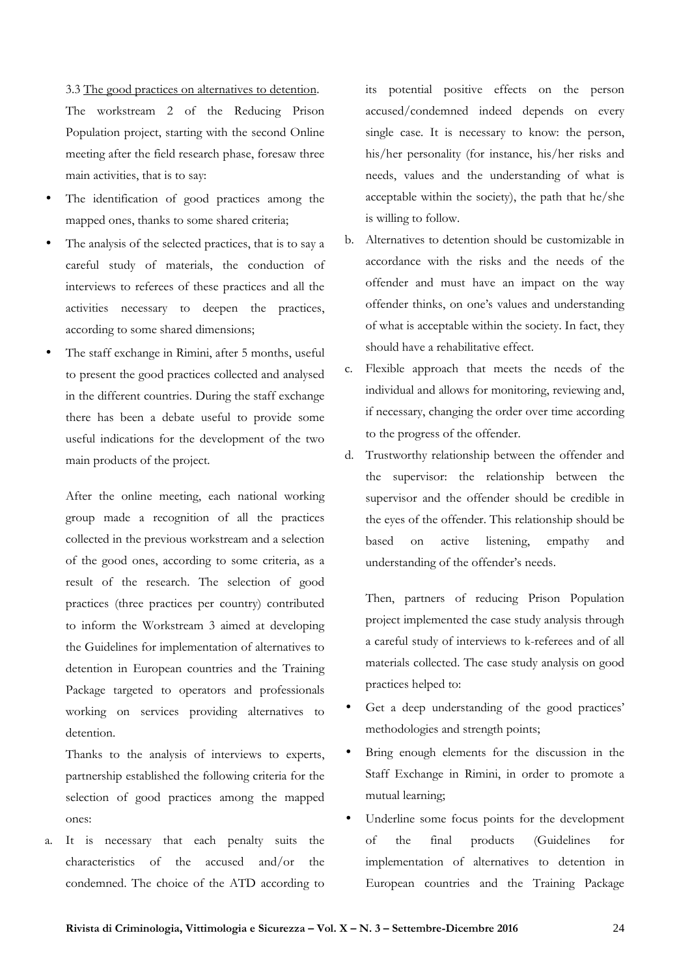3.3 The good practices on alternatives to detention. The workstream 2 of the Reducing Prison Population project, starting with the second Online meeting after the field research phase, foresaw three main activities, that is to say:

- The identification of good practices among the mapped ones, thanks to some shared criteria;
- The analysis of the selected practices, that is to say a careful study of materials, the conduction of interviews to referees of these practices and all the activities necessary to deepen the practices, according to some shared dimensions;
- The staff exchange in Rimini, after 5 months, useful to present the good practices collected and analysed in the different countries. During the staff exchange there has been a debate useful to provide some useful indications for the development of the two main products of the project.

After the online meeting, each national working group made a recognition of all the practices collected in the previous workstream and a selection of the good ones, according to some criteria, as a result of the research. The selection of good practices (three practices per country) contributed to inform the Workstream 3 aimed at developing the Guidelines for implementation of alternatives to detention in European countries and the Training Package targeted to operators and professionals working on services providing alternatives to detention.

Thanks to the analysis of interviews to experts, partnership established the following criteria for the selection of good practices among the mapped ones:

a. It is necessary that each penalty suits the characteristics of the accused and/or the condemned. The choice of the ATD according to its potential positive effects on the person accused/condemned indeed depends on every single case. It is necessary to know: the person, his/her personality (for instance, his/her risks and needs, values and the understanding of what is acceptable within the society), the path that he/she is willing to follow.

- b. Alternatives to detention should be customizable in accordance with the risks and the needs of the offender and must have an impact on the way offender thinks, on one's values and understanding of what is acceptable within the society. In fact, they should have a rehabilitative effect.
- c. Flexible approach that meets the needs of the individual and allows for monitoring, reviewing and, if necessary, changing the order over time according to the progress of the offender.
- d. Trustworthy relationship between the offender and the supervisor: the relationship between the supervisor and the offender should be credible in the eyes of the offender. This relationship should be based on active listening, empathy and understanding of the offender's needs.

Then, partners of reducing Prison Population project implemented the case study analysis through a careful study of interviews to k-referees and of all materials collected. The case study analysis on good practices helped to:

- Get a deep understanding of the good practices' methodologies and strength points;
- Bring enough elements for the discussion in the Staff Exchange in Rimini, in order to promote a mutual learning;
- Underline some focus points for the development of the final products (Guidelines for implementation of alternatives to detention in European countries and the Training Package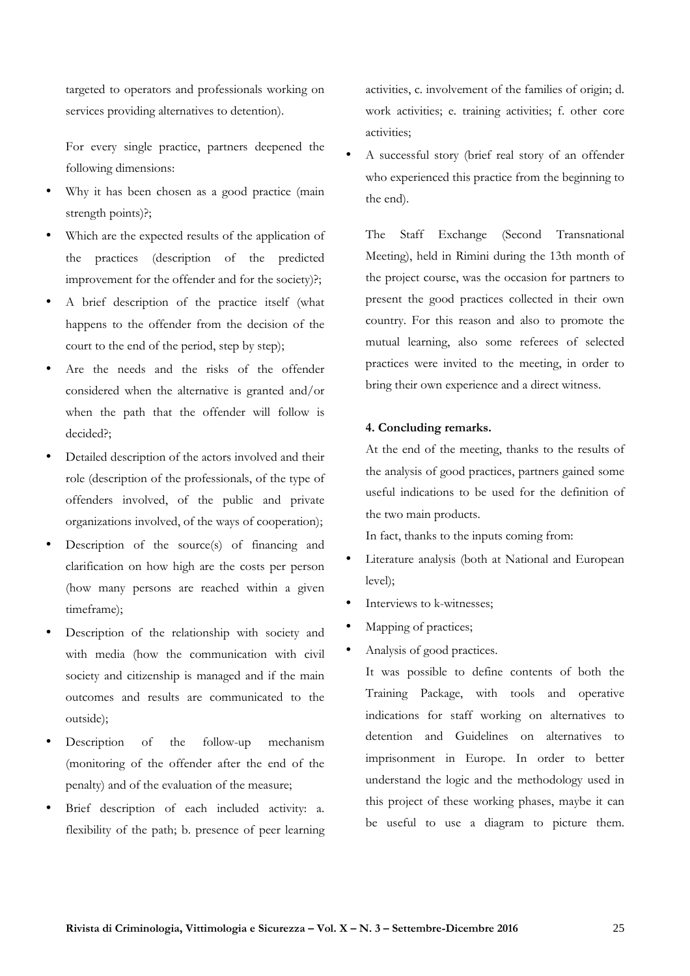targeted to operators and professionals working on services providing alternatives to detention).

For every single practice, partners deepened the following dimensions:

- Why it has been chosen as a good practice (main strength points)?;
- Which are the expected results of the application of the practices (description of the predicted improvement for the offender and for the society)?;
- A brief description of the practice itself (what happens to the offender from the decision of the court to the end of the period, step by step);
- Are the needs and the risks of the offender considered when the alternative is granted and/or when the path that the offender will follow is decided?;
- Detailed description of the actors involved and their role (description of the professionals, of the type of offenders involved, of the public and private organizations involved, of the ways of cooperation);
- Description of the source(s) of financing and clarification on how high are the costs per person (how many persons are reached within a given timeframe);
- Description of the relationship with society and with media (how the communication with civil society and citizenship is managed and if the main outcomes and results are communicated to the outside);
- Description of the follow-up mechanism (monitoring of the offender after the end of the penalty) and of the evaluation of the measure;
- Brief description of each included activity: a. flexibility of the path; b. presence of peer learning

activities, c. involvement of the families of origin; d. work activities; e. training activities; f. other core activities;

• A successful story (brief real story of an offender who experienced this practice from the beginning to the end).

The Staff Exchange (Second Transnational Meeting), held in Rimini during the 13th month of the project course, was the occasion for partners to present the good practices collected in their own country. For this reason and also to promote the mutual learning, also some referees of selected practices were invited to the meeting, in order to bring their own experience and a direct witness.

# **4. Concluding remarks.**

At the end of the meeting, thanks to the results of the analysis of good practices, partners gained some useful indications to be used for the definition of the two main products.

In fact, thanks to the inputs coming from:

- Literature analysis (both at National and European level);
- Interviews to k-witnesses;
- Mapping of practices;
- Analysis of good practices.

It was possible to define contents of both the Training Package, with tools and operative indications for staff working on alternatives to detention and Guidelines on alternatives to imprisonment in Europe. In order to better understand the logic and the methodology used in this project of these working phases, maybe it can be useful to use a diagram to picture them.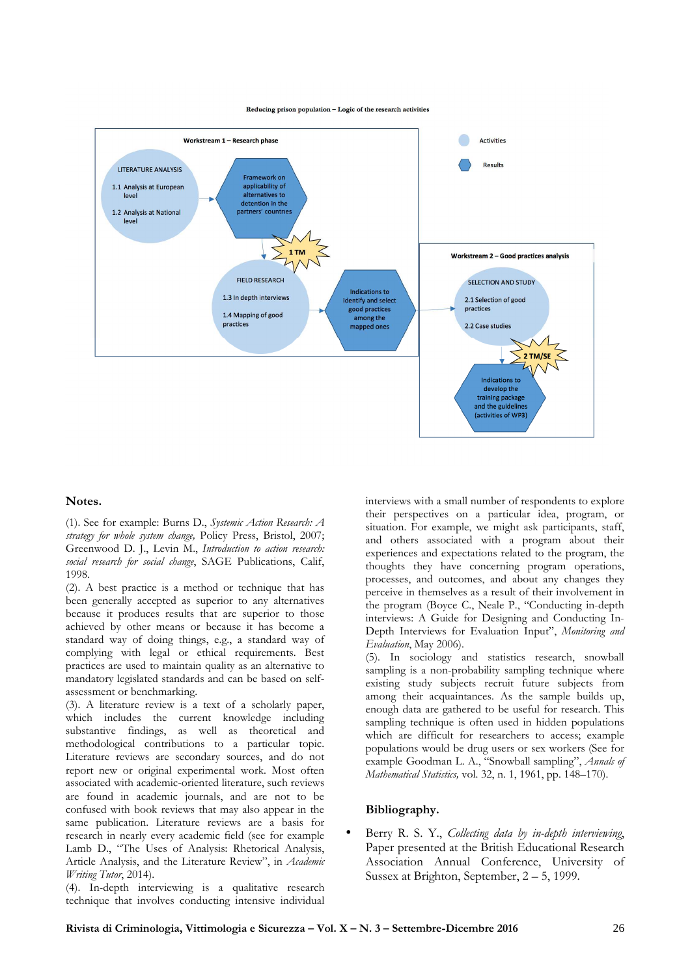

#### Reducing prison population - Logic of the research activities

## **Notes.**

(1). See for example: Burns D., *Systemic Action Research: A strategy for whole system change,* Policy Press, Bristol, 2007; Greenwood D. J., Levin M., *Introduction to action research: social research for social change*, SAGE Publications, Calif, 1998.

(2). A best practice is a method or technique that has been generally accepted as superior to any alternatives because it produces results that are superior to those achieved by other means or because it has become a standard way of doing things, e.g., a standard way of complying with legal or ethical requirements. Best practices are used to maintain quality as an alternative to mandatory legislated standards and can be based on selfassessment or benchmarking.

(3). A literature review is a text of a scholarly paper, which includes the current knowledge including substantive findings, as well as theoretical and methodological contributions to a particular topic. Literature reviews are secondary sources, and do not report new or original experimental work. Most often associated with academic-oriented literature, such reviews are found in academic journals, and are not to be confused with book reviews that may also appear in the same publication. Literature reviews are a basis for research in nearly every academic field (see for example Lamb D., "The Uses of Analysis: Rhetorical Analysis, Article Analysis, and the Literature Review", in *Academic Writing Tutor*, 2014).

(4). In-depth interviewing is a qualitative research technique that involves conducting intensive individual

interviews with a small number of respondents to explore their perspectives on a particular idea, program, or situation. For example, we might ask participants, staff, and others associated with a program about their experiences and expectations related to the program, the thoughts they have concerning program operations, processes, and outcomes, and about any changes they perceive in themselves as a result of their involvement in the program (Boyce C., Neale P., "Conducting in-depth interviews: A Guide for Designing and Conducting In-Depth Interviews for Evaluation Input", *Monitoring and Evaluation*, May 2006).

(5). In sociology and statistics research, snowball sampling is a non-probability sampling technique where existing study subjects recruit future subjects from among their acquaintances. As the sample builds up, enough data are gathered to be useful for research. This sampling technique is often used in hidden populations which are difficult for researchers to access; example populations would be drug users or sex workers (See for example Goodman L. A., "Snowball sampling", *Annals of Mathematical Statistics,* vol. 32, n. 1, 1961, pp. 148–170).

## **Bibliography.**

• Berry R. S. Y., *Collecting data by in-depth interviewing*, Paper presented at the British Educational Research Association Annual Conference, University of Sussex at Brighton, September, 2 – 5, 1999.